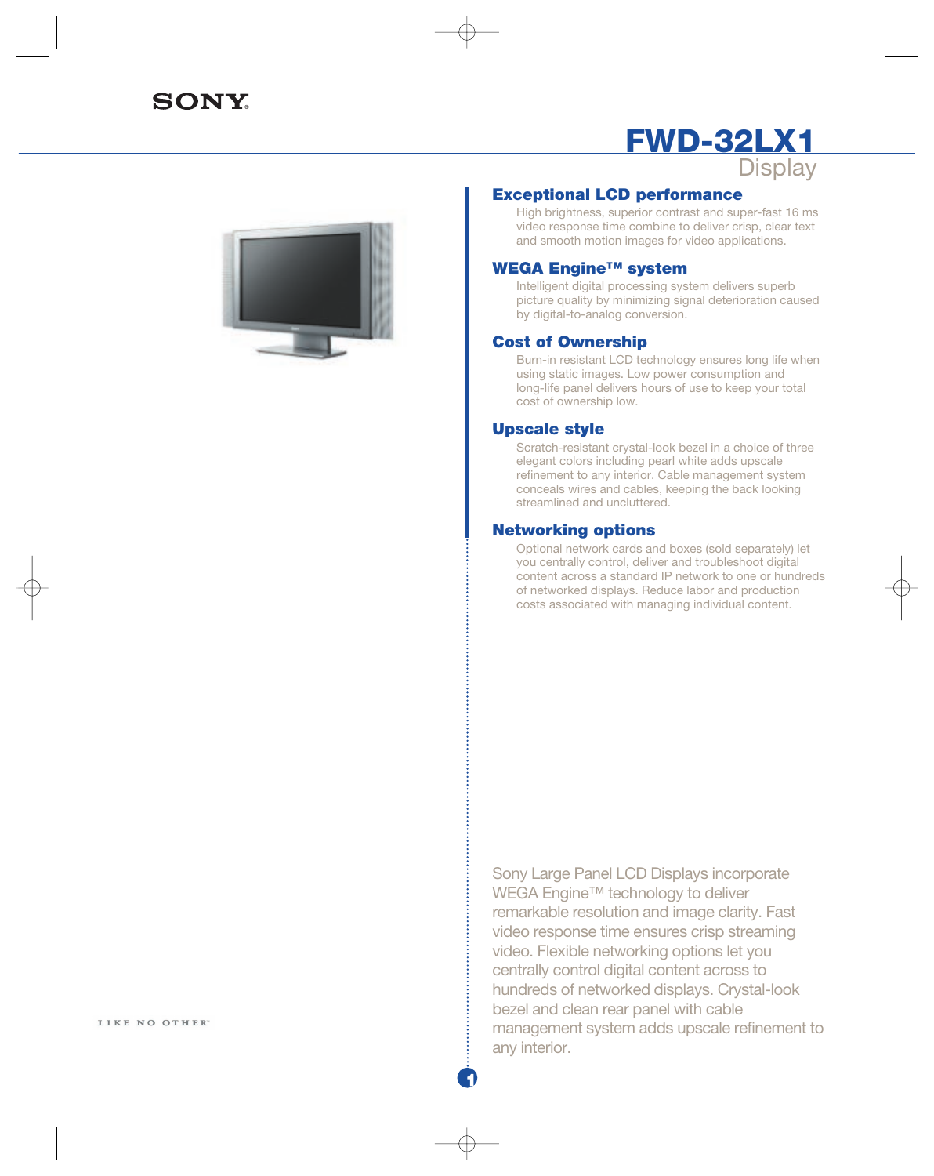# **SONY**

## **FWD-32LX1 Display**



## **Exceptional LCD performance**

High brightness, superior contrast and super-fast 16 ms video response time combine to deliver crisp, clear text and smooth motion images for video applications.

#### **WEGA Engine™ system**

Intelligent digital processing system delivers superb picture quality by minimizing signal deterioration caused by digital-to-analog conversion.

### **Cost of Ownership**

Burn-in resistant LCD technology ensures long life when using static images. Low power consumption and long-life panel delivers hours of use to keep your total cost of ownership low.

#### **Upscale style**

Scratch-resistant crystal-look bezel in a choice of three elegant colors including pearl white adds upscale refinement to any interior. Cable management system conceals wires and cables, keeping the back looking streamlined and uncluttered.

#### **Networking options**

Optional network cards and boxes (sold separately) let you centrally control, deliver and troubleshoot digital content across a standard IP network to one or hundreds of networked displays. Reduce labor and production costs associated with managing individual content.

LIKE NO OTHER

Sony Large Panel LCD Displays incorporate WEGA Engine™ technology to deliver remarkable resolution and image clarity. Fast video response time ensures crisp streaming video. Flexible networking options let you centrally control digital content across to hundreds of networked displays. Crystal-look bezel and clean rear panel with cable management system adds upscale refinement to any interior.